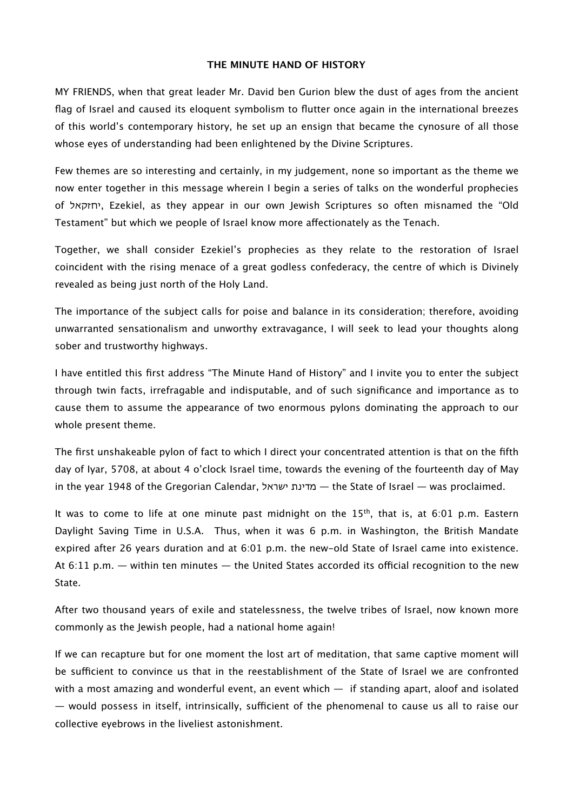## **THE MINUTE HAND OF HISTORY**

MY FRIENDS, when that great leader Mr. David ben Gurion blew the dust of ages from the ancient flag of Israel and caused its eloquent symbolism to flutter once again in the international breezes of this world's contemporary history, he set up an ensign that became the cynosure of all those whose eyes of understanding had been enlightened by the Divine Scriptures.

Few themes are so interesting and certainly, in my judgement, none so important as the theme we now enter together in this message wherein I begin a series of talks on the wonderful prophecies of יחזקאל, Ezekiel, as they appear in our own Jewish Scriptures so often misnamed the "Old Testament" but which we people of Israel know more afectionately as the Tenach.

Together, we shall consider Ezekiel's prophecies as they relate to the restoration of Israel coincident with the rising menace of a great godless confederacy, the centre of which is Divinely revealed as being just north of the Holy Land.

The importance of the subject calls for poise and balance in its consideration; therefore, avoiding unwarranted sensationalism and unworthy extravagance, I will seek to lead your thoughts along sober and trustworthy highways.

I have entitled this first address "The Minute Hand of History" and I invite you to enter the subject through twin facts, irrefragable and indisputable, and of such significance and importance as to cause them to assume the appearance of two enormous pylons dominating the approach to our whole present theme.

The first unshakeable pylon of fact to which I direct your concentrated attention is that on the fifth day of Iyar, 5708, at about 4 o'clock Israel time, towards the evening of the fourteenth day of May in the year 1948 of the Gregorian Calendar, ישראל מדינת — the State of Israel — was proclaimed.

It was to come to life at one minute past midnight on the  $15<sup>th</sup>$ , that is, at 6:01 p.m. Eastern Daylight Saving Time in U.S.A. Thus, when it was 6 p.m. in Washington, the British Mandate expired after 26 years duration and at 6:01 p.m. the new-old State of Israel came into existence. At  $6:11$  p.m.  $-$  within ten minutes  $-$  the United States accorded its official recognition to the new State.

After two thousand years of exile and statelessness, the twelve tribes of Israel, now known more commonly as the Jewish people, had a national home again!

If we can recapture but for one moment the lost art of meditation, that same captive moment will be sufficient to convince us that in the reestablishment of the State of Israel we are confronted with a most amazing and wonderful event, an event which  $-$  if standing apart, aloof and isolated  $-$  would possess in itself, intrinsically, sufficient of the phenomenal to cause us all to raise our collective eyebrows in the liveliest astonishment.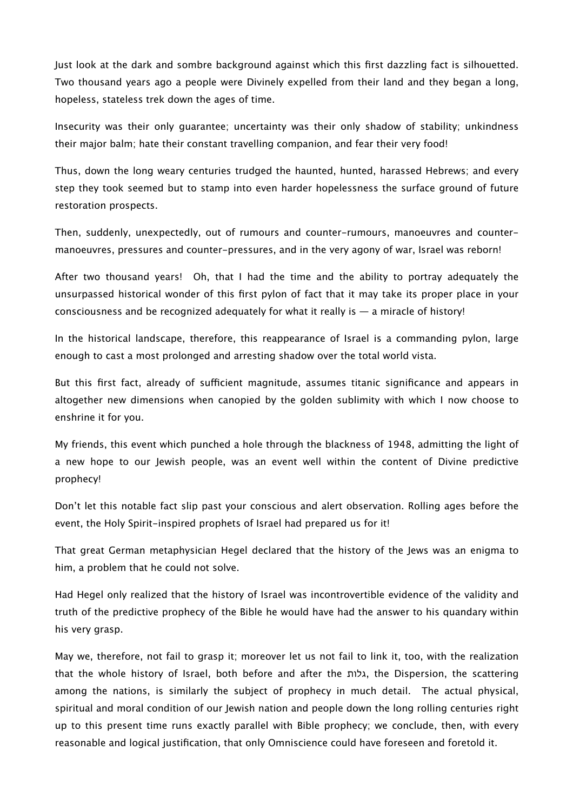Just look at the dark and sombre background against which this first dazzling fact is silhouetted. Two thousand years ago a people were Divinely expelled from their land and they began a long, hopeless, stateless trek down the ages of time.

Insecurity was their only guarantee; uncertainty was their only shadow of stability; unkindness their major balm; hate their constant travelling companion, and fear their very food!

Thus, down the long weary centuries trudged the haunted, hunted, harassed Hebrews; and every step they took seemed but to stamp into even harder hopelessness the surface ground of future restoration prospects.

Then, suddenly, unexpectedly, out of rumours and counter-rumours, manoeuvres and countermanoeuvres, pressures and counter-pressures, and in the very agony of war, Israel was reborn!

After two thousand years! Oh, that I had the time and the ability to portray adequately the unsurpassed historical wonder of this first pylon of fact that it may take its proper place in your consciousness and be recognized adequately for what it really is  $-$  a miracle of history!

In the historical landscape, therefore, this reappearance of Israel is a commanding pylon, large enough to cast a most prolonged and arresting shadow over the total world vista.

But this first fact, already of sufficient magnitude, assumes titanic significance and appears in altogether new dimensions when canopied by the golden sublimity with which I now choose to enshrine it for you.

My friends, this event which punched a hole through the blackness of 1948, admitting the light of a new hope to our Jewish people, was an event well within the content of Divine predictive prophecy!

Don't let this notable fact slip past your conscious and alert observation. Rolling ages before the event, the Holy Spirit-inspired prophets of Israel had prepared us for it!

That great German metaphysician Hegel declared that the history of the Jews was an enigma to him, a problem that he could not solve.

Had Hegel only realized that the history of Israel was incontrovertible evidence of the validity and truth of the predictive prophecy of the Bible he would have had the answer to his quandary within his very grasp.

May we, therefore, not fail to grasp it; moreover let us not fail to link it, too, with the realization that the whole history of Israel, both before and after the גלות, the Dispersion, the scattering among the nations, is similarly the subject of prophecy in much detail. The actual physical, spiritual and moral condition of our Jewish nation and people down the long rolling centuries right up to this present time runs exactly parallel with Bible prophecy; we conclude, then, with every reasonable and logical justification, that only Omniscience could have foreseen and foretold it.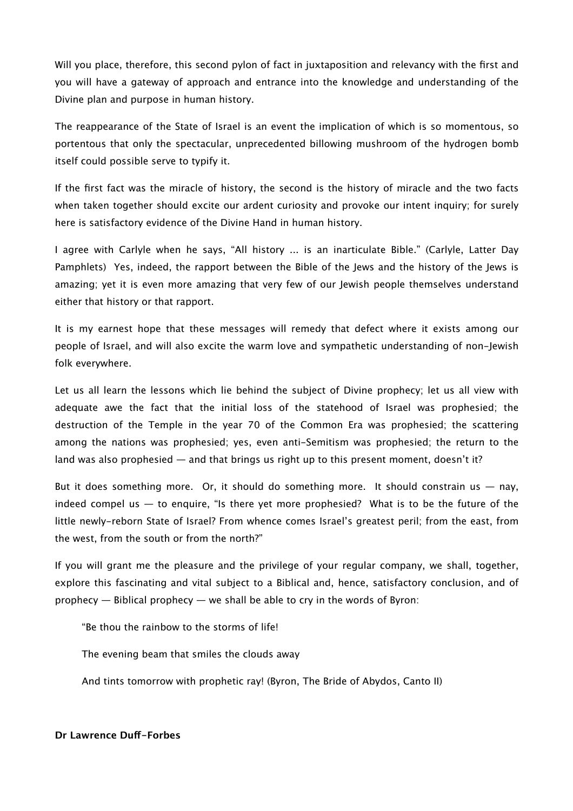Will you place, therefore, this second pylon of fact in juxtaposition and relevancy with the first and you will have a gateway of approach and entrance into the knowledge and understanding of the Divine plan and purpose in human history.

The reappearance of the State of Israel is an event the implication of which is so momentous, so portentous that only the spectacular, unprecedented billowing mushroom of the hydrogen bomb itself could possible serve to typify it.

If the first fact was the miracle of history, the second is the history of miracle and the two facts when taken together should excite our ardent curiosity and provoke our intent inquiry; for surely here is satisfactory evidence of the Divine Hand in human history.

I agree with Carlyle when he says, "All history ... is an inarticulate Bible." (Carlyle, Latter Day Pamphlets) Yes, indeed, the rapport between the Bible of the Jews and the history of the Jews is amazing; yet it is even more amazing that very few of our Jewish people themselves understand either that history or that rapport.

It is my earnest hope that these messages will remedy that defect where it exists among our people of Israel, and will also excite the warm love and sympathetic understanding of non-Jewish folk everywhere.

Let us all learn the lessons which lie behind the subject of Divine prophecy; let us all view with adequate awe the fact that the initial loss of the statehood of Israel was prophesied; the destruction of the Temple in the year 70 of the Common Era was prophesied; the scattering among the nations was prophesied; yes, even anti-Semitism was prophesied; the return to the land was also prophesied  $-$  and that brings us right up to this present moment, doesn't it?

But it does something more. Or, it should do something more. It should constrain us  $-$  nay, indeed compel us  $-$  to enquire, "Is there yet more prophesied? What is to be the future of the little newly-reborn State of Israel? From whence comes Israel's greatest peril; from the east, from the west, from the south or from the north?"

If you will grant me the pleasure and the privilege of your regular company, we shall, together, explore this fascinating and vital subject to a Biblical and, hence, satisfactory conclusion, and of prophecy — Biblical prophecy — we shall be able to cry in the words of Byron:

"Be thou the rainbow to the storms of life!

The evening beam that smiles the clouds away

And tints tomorrow with prophetic ray! (Byron, The Bride of Abydos, Canto II)

## **Dr Lawrence Duf-Forbes**